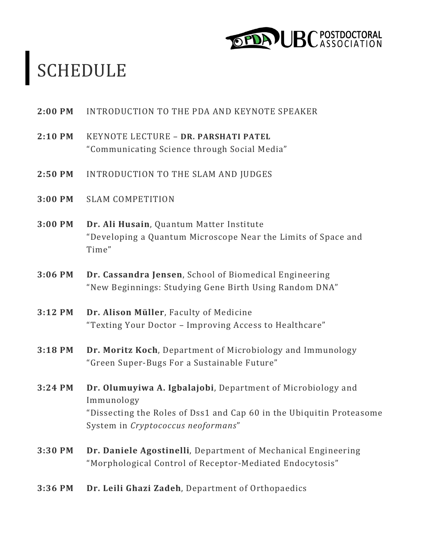

# SCHEDULE

- **2:00 PM INTRODUCTION TO THE PDA AND KEYNOTE SPEAKER**
- **2:10 PM** KEYNOTE LECTURE – **DR. PARSHATI PATEL** "Communicating Science through Social Media"
- **2:50 PM INTRODUCTION TO THE SLAM AND JUDGES**
- **3:00 PM** SLAM COMPETITION
- **3:00 PM Dr. Ali Husain**, Quantum Matter Institute "Developing a Quantum Microscope Near the Limits of Space and Time"
- **3:06 PM Dr. Cassandra Jensen**, School of Biomedical Engineering "New Beginnings: Studying Gene Birth Using Random DNA"
- **3:12 PM Dr. Alison Müller**, Faculty of Medicine "Texting Your Doctor - Improving Access to Healthcare"
- **3:18 PM** Dr. Moritz Koch, Department of Microbiology and Immunology "Green Super-Bugs For a Sustainable Future"
- **3:24 PM Dr. Olumuyiwa A. Igbalajobi**, Department of Microbiology and Immunology "Dissecting the Roles of Dss1 and Cap 60 in the Ubiquitin Proteasome System in *Cryptococcus* neoformans"
- **3:30 PM Dr. Daniele Agostinelli**, Department of Mechanical Engineering "Morphological Control of Receptor-Mediated Endocytosis"
- **3:36 PM Dr. Leili Ghazi Zadeh**, Department of Orthopaedics